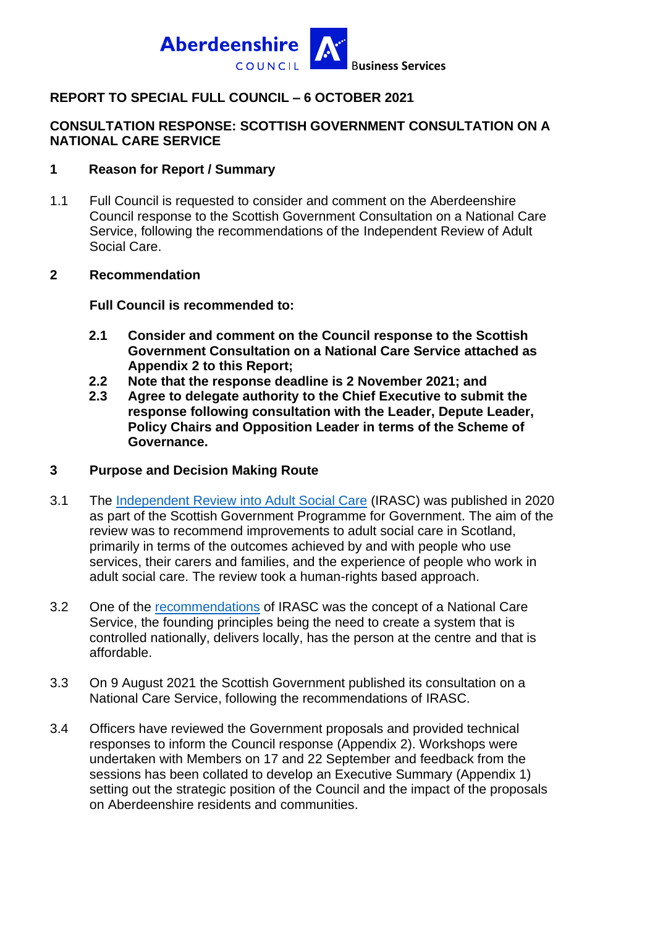

#### **REPORT TO SPECIAL FULL COUNCIL – 6 OCTOBER 2021**

#### **CONSULTATION RESPONSE: SCOTTISH GOVERNMENT CONSULTATION ON A NATIONAL CARE SERVICE**

#### **1 Reason for Report / Summary**

1.1 Full Council is requested to consider and comment on the Aberdeenshire Council response to the Scottish Government Consultation on a National Care Service, following the recommendations of the Independent Review of Adult Social Care.

#### **2 Recommendation**

**Full Council is recommended to:**

- **2.1 Consider and comment on the Council response to the Scottish Government Consultation on a National Care Service attached as Appendix 2 to this Report;**
- **2.2 Note that the response deadline is 2 November 2021; and**
- **2.3 Agree to delegate authority to the Chief Executive to submit the response following consultation with the Leader, Depute Leader, Policy Chairs and Opposition Leader in terms of the Scheme of Governance.**

#### **3 Purpose and Decision Making Route**

- 3.1 The [Independent Review into Adult Social Care](https://www.gov.scot/publications/independent-review-adult-social-care-scotland/pages/1/) (IRASC) was published in 2020 as part of the Scottish Government Programme for Government. The aim of the review was to recommend improvements to adult social care in Scotland, primarily in terms of the outcomes achieved by and with people who use services, their carers and families, and the experience of people who work in adult social care. The review took a human-rights based approach.
- 3.2 One of the [recommendations](https://www.gov.scot/publications/independent-review-adult-social-care-scotland/pages/7/) of IRASC was the concept of a National Care Service, the founding principles being the need to create a system that is controlled nationally, delivers locally, has the person at the centre and that is affordable.
- 3.3 On 9 August 2021 the Scottish Government published its consultation on a National Care Service, following the recommendations of IRASC.
- 3.4 Officers have reviewed the Government proposals and provided technical responses to inform the Council response (Appendix 2). Workshops were undertaken with Members on 17 and 22 September and feedback from the sessions has been collated to develop an Executive Summary (Appendix 1) setting out the strategic position of the Council and the impact of the proposals on Aberdeenshire residents and communities.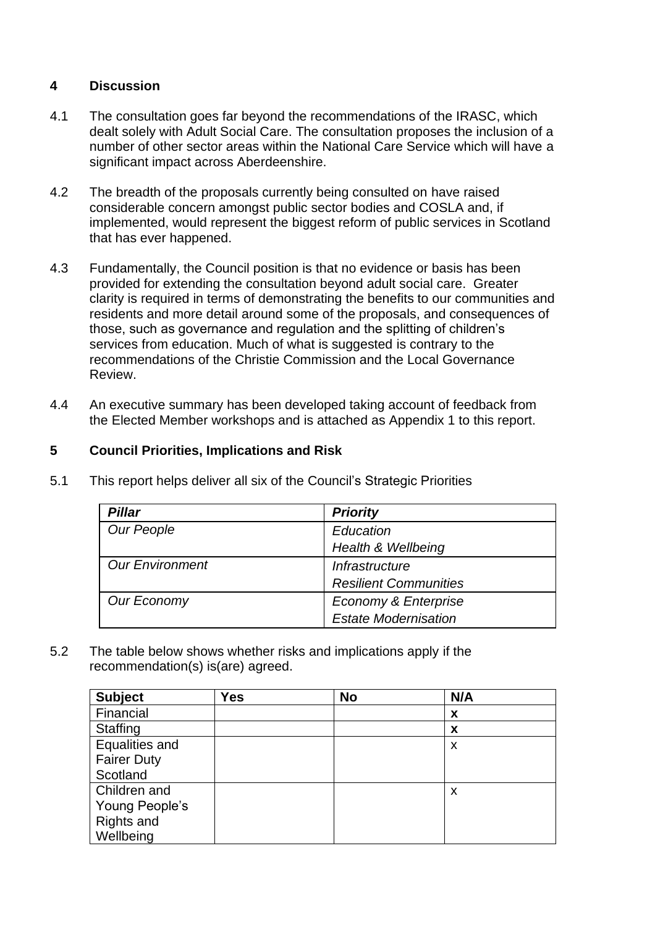# **4 Discussion**

- 4.1 The consultation goes far beyond the recommendations of the IRASC, which dealt solely with Adult Social Care. The consultation proposes the inclusion of a number of other sector areas within the National Care Service which will have a significant impact across Aberdeenshire.
- 4.2 The breadth of the proposals currently being consulted on have raised considerable concern amongst public sector bodies and COSLA and, if implemented, would represent the biggest reform of public services in Scotland that has ever happened.
- 4.3 Fundamentally, the Council position is that no evidence or basis has been provided for extending the consultation beyond adult social care. Greater clarity is required in terms of demonstrating the benefits to our communities and residents and more detail around some of the proposals, and consequences of those, such as governance and regulation and the splitting of children's services from education. Much of what is suggested is contrary to the recommendations of the Christie Commission and the Local Governance Review.
- 4.4 An executive summary has been developed taking account of feedback from the Elected Member workshops and is attached as Appendix 1 to this report.

## **5 Council Priorities, Implications and Risk**

| <b>Pillar</b>          | <b>Priority</b>              |
|------------------------|------------------------------|
| <b>Our People</b>      | Education                    |
|                        | Health & Wellbeing           |
| <b>Our Environment</b> | Infrastructure               |
|                        | <b>Resilient Communities</b> |
| Our Economy            | Economy & Enterprise         |
|                        | <b>Estate Modernisation</b>  |

5.1 This report helps deliver all six of the Council's Strategic Priorities

5.2 The table below shows whether risks and implications apply if the recommendation(s) is(are) agreed.

| <b>Subject</b>     | Yes | <b>No</b> | N/A |
|--------------------|-----|-----------|-----|
| Financial          |     |           | X   |
| Staffing           |     |           | X   |
| Equalities and     |     |           | X   |
| <b>Fairer Duty</b> |     |           |     |
| Scotland           |     |           |     |
| Children and       |     |           | X   |
| Young People's     |     |           |     |
| Rights and         |     |           |     |
| Wellbeing          |     |           |     |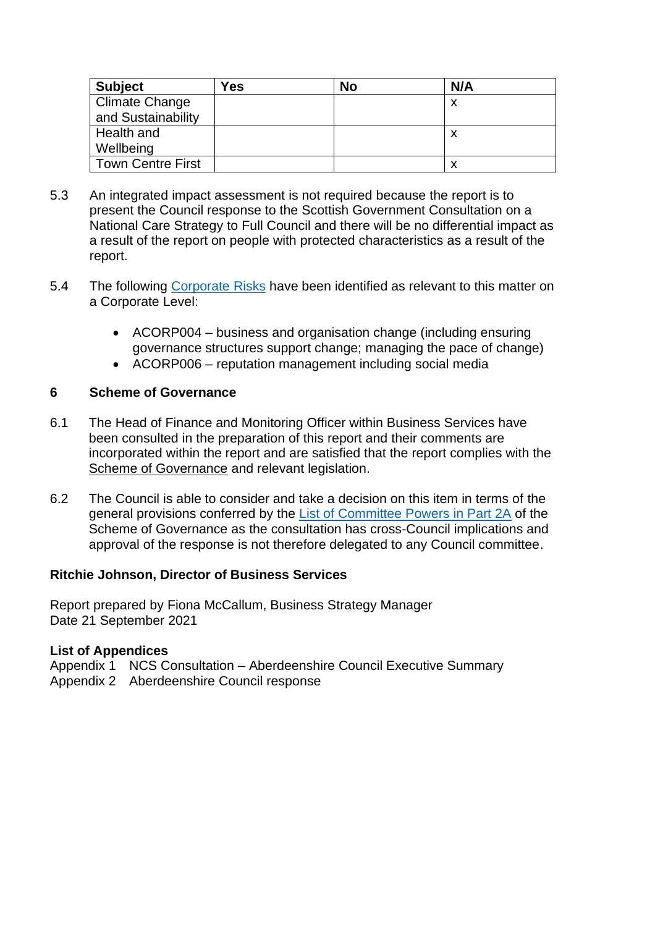| <b>Subject</b>           | <b>Yes</b> | No | N/A |
|--------------------------|------------|----|-----|
| Climate Change           |            |    | х   |
| and Sustainability       |            |    |     |
| Health and               |            |    | х   |
| Wellbeing                |            |    |     |
| <b>Town Centre First</b> |            |    |     |

- 5.3 An integrated impact assessment is not required because the report is to present the Council response to the Scottish Government Consultation on a National Care Strategy to Full Council and there will be no differential impact as a result of the report on people with protected characteristics as a result of the report.
- 5.4 The following [Corporate Risks](https://www.aberdeenshire.gov.uk/media/24689/aberdeenshirecorporaterisks.pdf) have been identified as relevant to this matter on a Corporate Level:
	- ACORP004 business and organisation change (including ensuring governance structures support change; managing the pace of change)
	- ACORP006 reputation management including social media

#### **6 Scheme of Governance**

- 6.1 The Head of Finance and Monitoring Officer within Business Services have been consulted in the preparation of this report and their comments are incorporated within the report and are satisfied that the report complies with the [Scheme of Governance](https://www.aberdeenshire.gov.uk/council-and-democracy/scheme-of-governance/) and relevant legislation.
- 6.2 The Council is able to consider and take a decision on this item in terms of the general provisions conferred by the [List of Committee Powers in Part 2A](http://publications.aberdeenshire.gov.uk/dataset/c8044f6f-e327-499f-bbc7-94ae9d699559/resource/8d829bb9-95e7-4c83-bc0b-63b76bcba159/download/list-of-committee-powers.pdf) of the Scheme of Governance as the consultation has cross-Council implications and approval of the response is not therefore delegated to any Council committee.

#### **Ritchie Johnson, Director of Business Services**

Report prepared by Fiona McCallum, Business Strategy Manager Date 21 September 2021

#### **List of Appendices**

Appendix 1 NCS Consultation – Aberdeenshire Council Executive Summary Appendix 2 Aberdeenshire Council response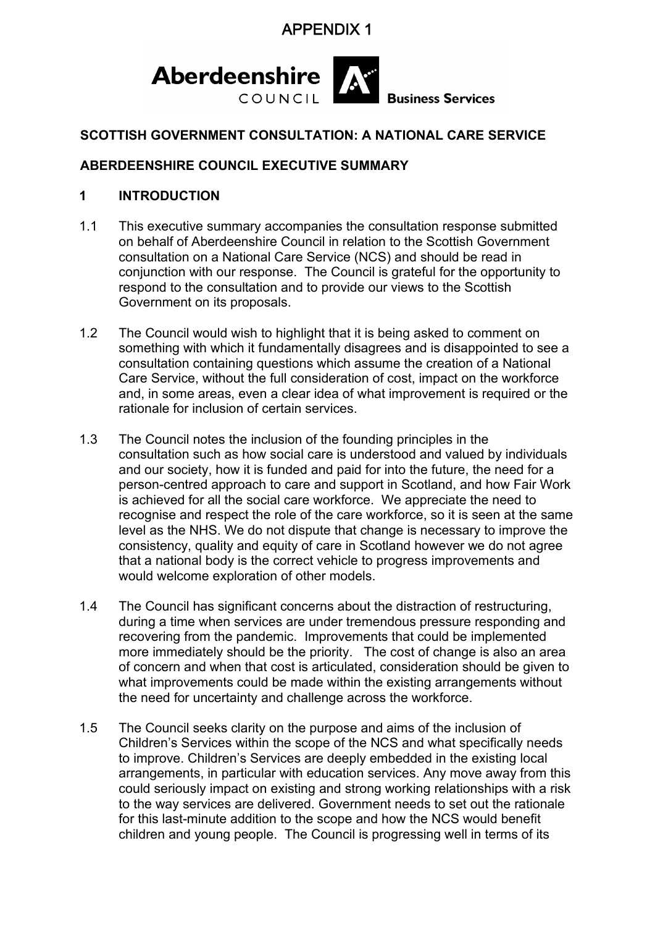

### **SCOTTISH GOVERNMENT CONSULTATION: A NATIONAL CARE SERVICE**

#### **ABERDEENSHIRE COUNCIL EXECUTIVE SUMMARY**

#### **1 INTRODUCTION**

- 1.1 This executive summary accompanies the consultation response submitted on behalf of Aberdeenshire Council in relation to the Scottish Government consultation on a National Care Service (NCS) and should be read in conjunction with our response. The Council is grateful for the opportunity to respond to the consultation and to provide our views to the Scottish Government on its proposals.
- 1.2 The Council would wish to highlight that it is being asked to comment on something with which it fundamentally disagrees and is disappointed to see a consultation containing questions which assume the creation of a National Care Service, without the full consideration of cost, impact on the workforce and, in some areas, even a clear idea of what improvement is required or the rationale for inclusion of certain services.
- 1.3 The Council notes the inclusion of the founding principles in the consultation such as how social care is understood and valued by individuals and our society, how it is funded and paid for into the future, the need for a person-centred approach to care and support in Scotland, and how Fair Work is achieved for all the social care workforce. We appreciate the need to recognise and respect the role of the care workforce, so it is seen at the same level as the NHS. We do not dispute that change is necessary to improve the consistency, quality and equity of care in Scotland however we do not agree that a national body is the correct vehicle to progress improvements and would welcome exploration of other models.
- 1.4 The Council has significant concerns about the distraction of restructuring, during a time when services are under tremendous pressure responding and recovering from the pandemic. Improvements that could be implemented more immediately should be the priority. The cost of change is also an area of concern and when that cost is articulated, consideration should be given to what improvements could be made within the existing arrangements without the need for uncertainty and challenge across the workforce.
- 1.5 The Council seeks clarity on the purpose and aims of the inclusion of Children's Services within the scope of the NCS and what specifically needs to improve. Children's Services are deeply embedded in the existing local arrangements, in particular with education services. Any move away from this could seriously impact on existing and strong working relationships with a risk to the way services are delivered. Government needs to set out the rationale for this last-minute addition to the scope and how the NCS would benefit children and young people. The Council is progressing well in terms of its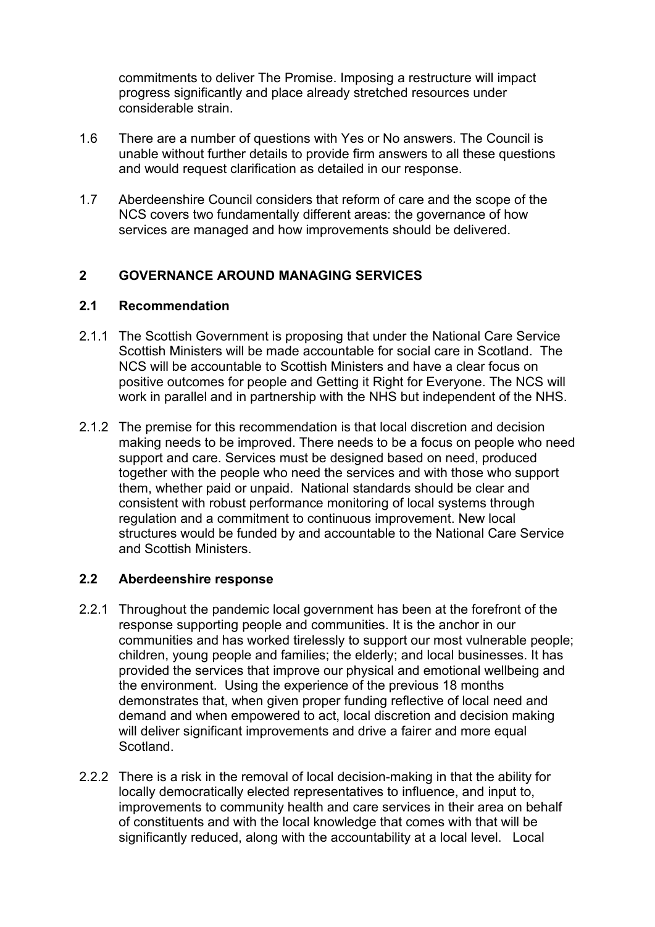commitments to deliver The Promise. Imposing a restructure will impact progress significantly and place already stretched resources under considerable strain.

- 1.6 There are a number of questions with Yes or No answers. The Council is unable without further details to provide firm answers to all these questions and would request clarification as detailed in our response.
- 1.7 Aberdeenshire Council considers that reform of care and the scope of the NCS covers two fundamentally different areas: the governance of how services are managed and how improvements should be delivered.

#### **2 GOVERNANCE AROUND MANAGING SERVICES**

#### **2.1 Recommendation**

- 2.1.1 The Scottish Government is proposing that under the National Care Service Scottish Ministers will be made accountable for social care in Scotland. The NCS will be accountable to Scottish Ministers and have a clear focus on positive outcomes for people and Getting it Right for Everyone. The NCS will work in parallel and in partnership with the NHS but independent of the NHS.
- 2.1.2 The premise for this recommendation is that local discretion and decision making needs to be improved. There needs to be a focus on people who need support and care. Services must be designed based on need, produced together with the people who need the services and with those who support them, whether paid or unpaid. National standards should be clear and consistent with robust performance monitoring of local systems through regulation and a commitment to continuous improvement. New local structures would be funded by and accountable to the National Care Service and Scottish Ministers.

#### **2.2 Aberdeenshire response**

- 2.2.1 Throughout the pandemic local government has been at the forefront of the response supporting people and communities. It is the anchor in our communities and has worked tirelessly to support our most vulnerable people; children, young people and families; the elderly; and local businesses. It has provided the services that improve our physical and emotional wellbeing and the environment. Using the experience of the previous 18 months demonstrates that, when given proper funding reflective of local need and demand and when empowered to act, local discretion and decision making will deliver significant improvements and drive a fairer and more equal Scotland.
- 2.2.2 There is a risk in the removal of local decision-making in that the ability for locally democratically elected representatives to influence, and input to, improvements to community health and care services in their area on behalf of constituents and with the local knowledge that comes with that will be significantly reduced, along with the accountability at a local level. Local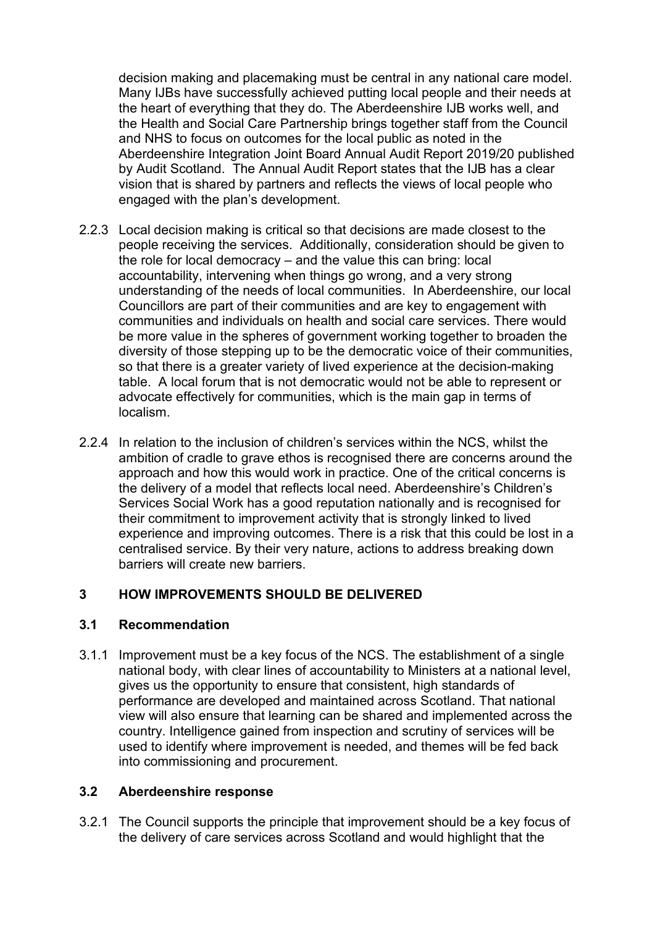decision making and placemaking must be central in any national care model. Many IJBs have successfully achieved putting local people and their needs at the heart of everything that they do. The Aberdeenshire IJB works well, and the Health and Social Care Partnership brings together staff from the Council and NHS to focus on outcomes for the local public as noted in the Aberdeenshire Integration Joint Board Annual Audit Report 2019/20 published by Audit Scotland. The Annual Audit Report states that the IJB has a clear vision that is shared by partners and reflects the views of local people who engaged with the plan's development.

- 2.2.3 Local decision making is critical so that decisions are made closest to the people receiving the services. Additionally, consideration should be given to the role for local democracy – and the value this can bring: local accountability, intervening when things go wrong, and a very strong understanding of the needs of local communities. In Aberdeenshire, our local Councillors are part of their communities and are key to engagement with communities and individuals on health and social care services. There would be more value in the spheres of government working together to broaden the diversity of those stepping up to be the democratic voice of their communities, so that there is a greater variety of lived experience at the decision-making table. A local forum that is not democratic would not be able to represent or advocate effectively for communities, which is the main gap in terms of localism.
- 2.2.4 In relation to the inclusion of children's services within the NCS, whilst the ambition of cradle to grave ethos is recognised there are concerns around the approach and how this would work in practice. One of the critical concerns is the delivery of a model that reflects local need. Aberdeenshire's Children's Services Social Work has a good reputation nationally and is recognised for their commitment to improvement activity that is strongly linked to lived experience and improving outcomes. There is a risk that this could be lost in a centralised service. By their very nature, actions to address breaking down barriers will create new barriers.

### **3 HOW IMPROVEMENTS SHOULD BE DELIVERED**

#### **3.1 Recommendation**

3.1.1 Improvement must be a key focus of the NCS. The establishment of a single national body, with clear lines of accountability to Ministers at a national level, gives us the opportunity to ensure that consistent, high standards of performance are developed and maintained across Scotland. That national view will also ensure that learning can be shared and implemented across the country. Intelligence gained from inspection and scrutiny of services will be used to identify where improvement is needed, and themes will be fed back into commissioning and procurement.

#### **3.2 Aberdeenshire response**

3.2.1 The Council supports the principle that improvement should be a key focus of the delivery of care services across Scotland and would highlight that the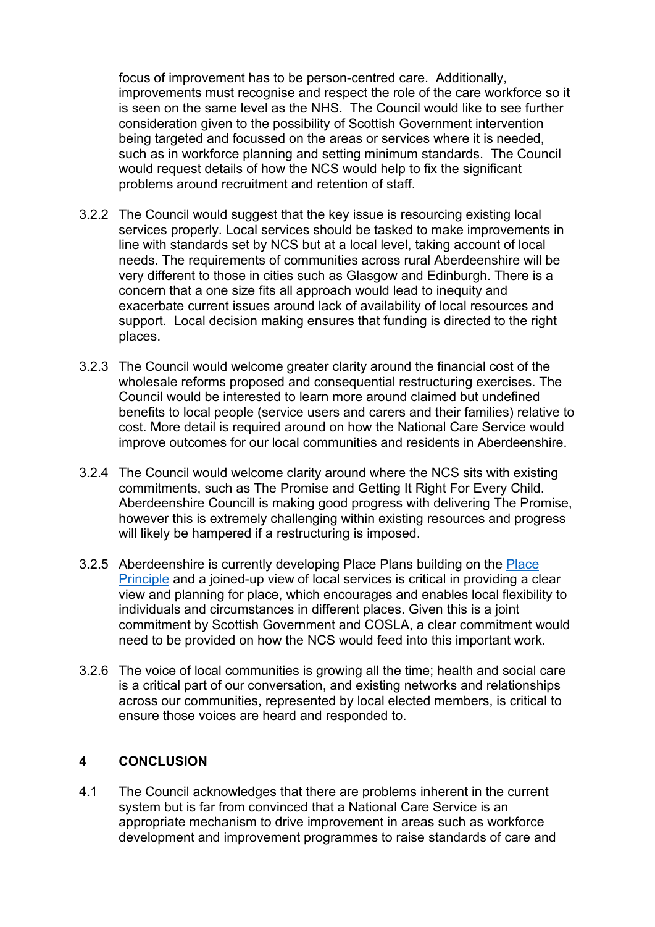focus of improvement has to be person-centred care. Additionally, improvements must recognise and respect the role of the care workforce so it is seen on the same level as the NHS. The Council would like to see further consideration given to the possibility of Scottish Government intervention being targeted and focussed on the areas or services where it is needed, such as in workforce planning and setting minimum standards. The Council would request details of how the NCS would help to fix the significant problems around recruitment and retention of staff.

- 3.2.2 The Council would suggest that the key issue is resourcing existing local services properly. Local services should be tasked to make improvements in line with standards set by NCS but at a local level, taking account of local needs. The requirements of communities across rural Aberdeenshire will be very different to those in cities such as Glasgow and Edinburgh. There is a concern that a one size fits all approach would lead to inequity and exacerbate current issues around lack of availability of local resources and support. Local decision making ensures that funding is directed to the right places.
- 3.2.3 The Council would welcome greater clarity around the financial cost of the wholesale reforms proposed and consequential restructuring exercises. The Council would be interested to learn more around claimed but undefined benefits to local people (service users and carers and their families) relative to cost. More detail is required around on how the National Care Service would improve outcomes for our local communities and residents in Aberdeenshire.
- 3.2.4 The Council would welcome clarity around where the NCS sits with existing commitments, such as The Promise and Getting It Right For Every Child. Aberdeenshire Councill is making good progress with delivering The Promise, however this is extremely challenging within existing resources and progress will likely be hampered if a restructuring is imposed.
- 3.2.5 Aberdeenshire is currently developing Place Plans building on the [Place](https://www.gov.scot/publications/place-principle-introduction/)  [Principle](https://www.gov.scot/publications/place-principle-introduction/) and a joined-up view of local services is critical in providing a clear view and planning for place, which encourages and enables local flexibility to individuals and circumstances in different places. Given this is a joint commitment by Scottish Government and COSLA, a clear commitment would need to be provided on how the NCS would feed into this important work.
- 3.2.6 The voice of local communities is growing all the time; health and social care is a critical part of our conversation, and existing networks and relationships across our communities, represented by local elected members, is critical to ensure those voices are heard and responded to.

#### **4 CONCLUSION**

4.1 The Council acknowledges that there are problems inherent in the current system but is far from convinced that a National Care Service is an appropriate mechanism to drive improvement in areas such as workforce development and improvement programmes to raise standards of care and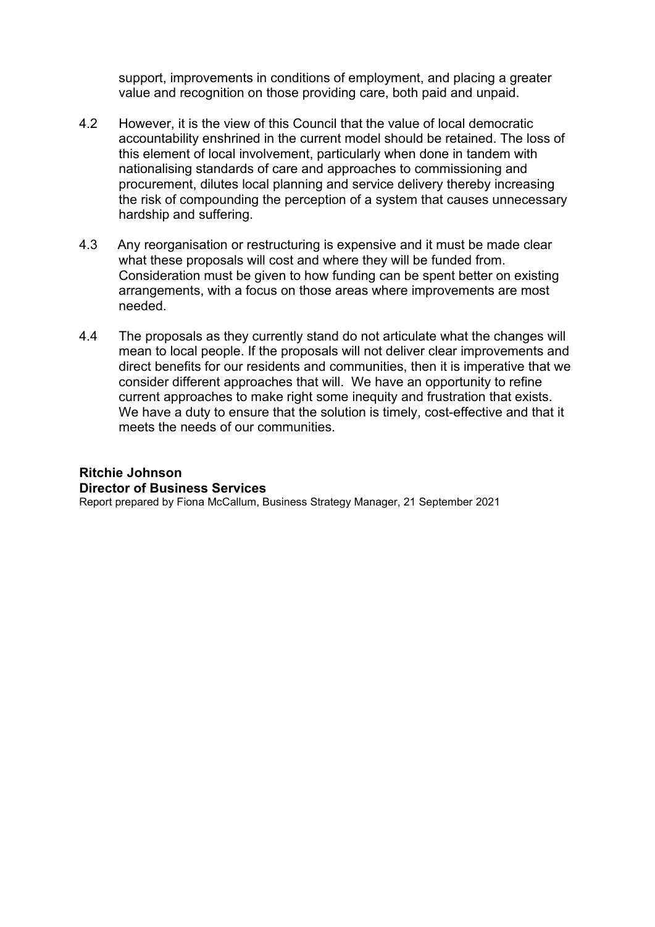support, improvements in conditions of employment, and placing a greater value and recognition on those providing care, both paid and unpaid.

- 4.2 However, it is the view of this Council that the value of local democratic accountability enshrined in the current model should be retained. The loss of this element of local involvement, particularly when done in tandem with nationalising standards of care and approaches to commissioning and procurement, dilutes local planning and service delivery thereby increasing the risk of compounding the perception of a system that causes unnecessary hardship and suffering.
- 4.3 Any reorganisation or restructuring is expensive and it must be made clear what these proposals will cost and where they will be funded from. Consideration must be given to how funding can be spent better on existing arrangements, with a focus on those areas where improvements are most needed.
- 4.4 The proposals as they currently stand do not articulate what the changes will mean to local people. If the proposals will not deliver clear improvements and direct benefits for our residents and communities, then it is imperative that we consider different approaches that will. We have an opportunity to refine current approaches to make right some inequity and frustration that exists. We have a duty to ensure that the solution is timely, cost-effective and that it meets the needs of our communities.

# **Ritchie Johnson Director of Business Services**

Report prepared by Fiona McCallum, Business Strategy Manager, 21 September 2021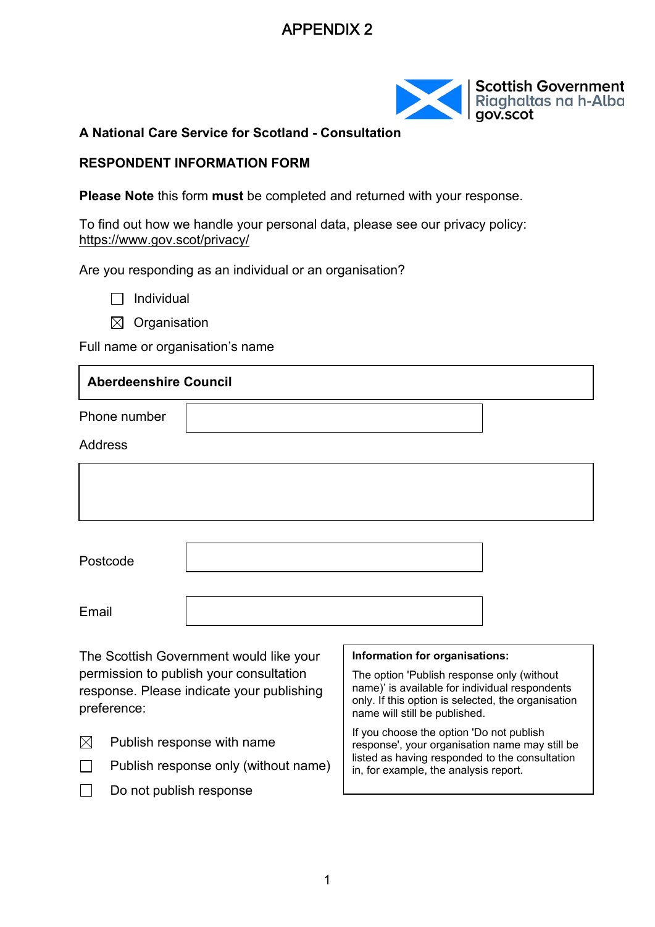# APPENDIX 2 Item: 3



**A National Care Service for Scotland - Consultation** 

#### **RESPONDENT INFORMATION FORM**

**Please Note** this form **must** be completed and returned with your response.

To find out how we handle your personal data, please see our privacy policy: <https://www.gov.scot/privacy/>

Are you responding as an individual or an organisation?

 $\Box$  Individual

 $\boxtimes$  Organisation

 $\Box$  Do not publish response

Full name or organisation's name

| <b>Aberdeenshire Council</b>                                            |                                                                                      |                                                                                                                                                                                       |  |
|-------------------------------------------------------------------------|--------------------------------------------------------------------------------------|---------------------------------------------------------------------------------------------------------------------------------------------------------------------------------------|--|
| Phone number                                                            |                                                                                      |                                                                                                                                                                                       |  |
| <b>Address</b>                                                          |                                                                                      |                                                                                                                                                                                       |  |
|                                                                         |                                                                                      |                                                                                                                                                                                       |  |
|                                                                         |                                                                                      |                                                                                                                                                                                       |  |
|                                                                         |                                                                                      |                                                                                                                                                                                       |  |
| Postcode                                                                |                                                                                      |                                                                                                                                                                                       |  |
|                                                                         |                                                                                      |                                                                                                                                                                                       |  |
| Email                                                                   |                                                                                      |                                                                                                                                                                                       |  |
|                                                                         | The Scottish Government would like your                                              | Information for organisations:                                                                                                                                                        |  |
| preference:                                                             | permission to publish your consultation<br>response. Please indicate your publishing | The option 'Publish response only (without<br>name)' is available for individual respondents<br>only. If this option is selected, the organisation<br>name will still be published.   |  |
| ⊠<br>Publish response with name<br>Publish response only (without name) |                                                                                      | If you choose the option 'Do not publish<br>response', your organisation name may still be<br>listed as having responded to the consultation<br>in, for example, the analysis report. |  |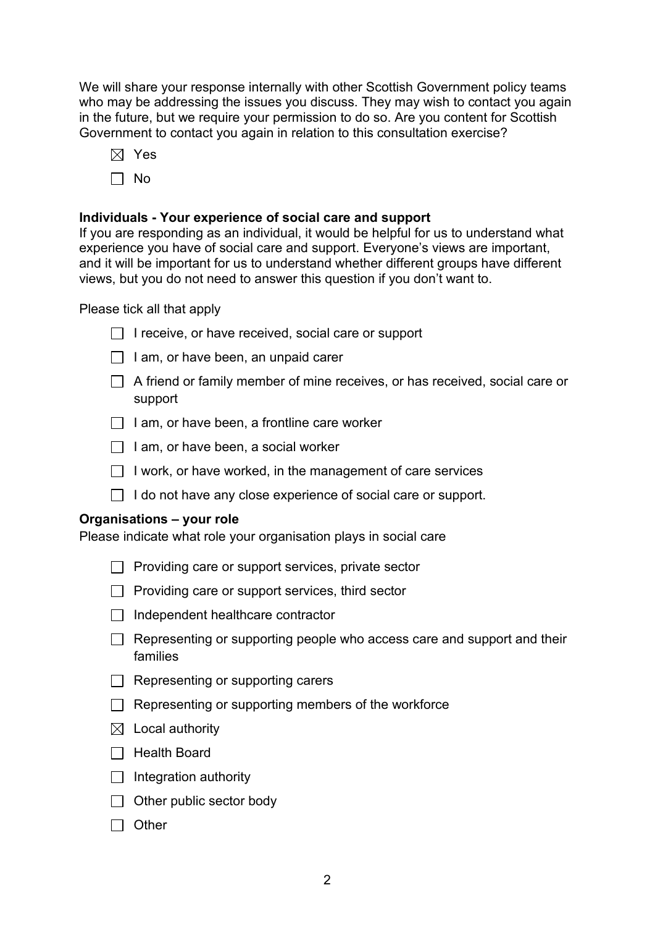Item: 3 Page: 13

We will share your response internally with other Scottish Government policy teams who may be addressing the issues you discuss. They may wish to contact you again in the future, but we require your permission to do so. Are you content for Scottish Government to contact you again in relation to this consultation exercise?

- $\boxtimes$  Yes
- $\Box$  No

#### **Individuals - Your experience of social care and support**

If you are responding as an individual, it would be helpful for us to understand what experience you have of social care and support. Everyone's views are important, and it will be important for us to understand whether different groups have different views, but you do not need to answer this question if you don't want to.

Please tick all that apply

- $\Box$  I receive, or have received, social care or support
- $\Box$  I am, or have been, an unpaid carer
- $\Box$  A friend or family member of mine receives, or has received, social care or support
- $\Box$  I am, or have been, a frontline care worker
- $\Box$  I am, or have been, a social worker
- $\Box$  I work, or have worked, in the management of care services
- $\Box$  I do not have any close experience of social care or support.

#### **Organisations – your role**

Please indicate what role your organisation plays in social care

- $\Box$  Providing care or support services, private sector
- $\Box$  Providing care or support services, third sector
- $\Box$  Independent healthcare contractor
- $\Box$  Representing or supporting people who access care and support and their families
- $\Box$  Representing or supporting carers
- $\Box$  Representing or supporting members of the workforce
- $\boxtimes$  Local authority
- $\Box$  Health Board
- $\Box$  Integration authority
- $\Box$  Other public sector body
- $\Box$  Other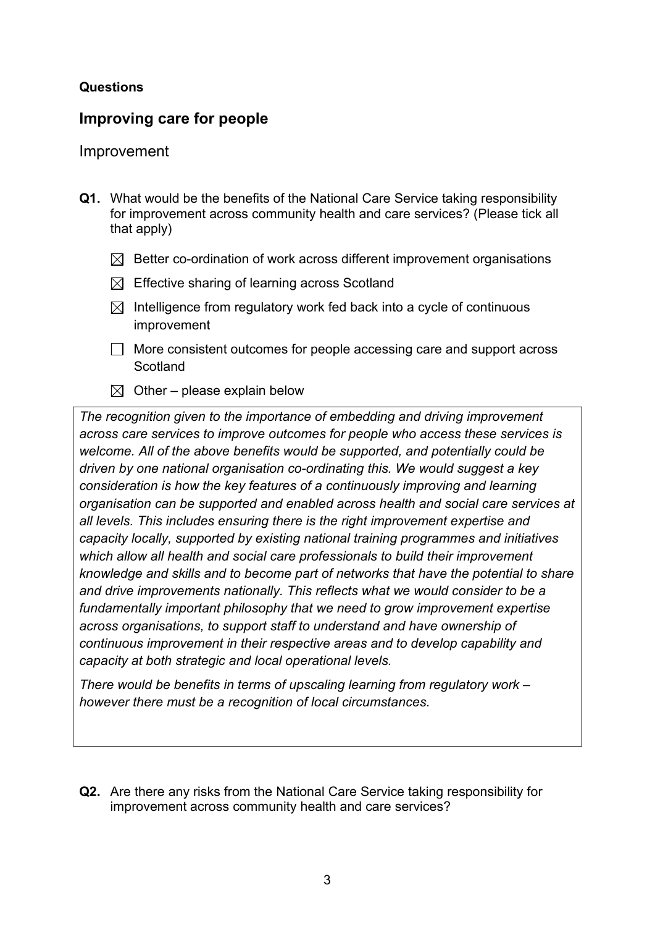#### **Questions**

# **Improving care for people**

#### Improvement

- **Q1.** What would be the benefits of the National Care Service taking responsibility for improvement across community health and care services? (Please tick all that apply)
	- $\boxtimes$  Better co-ordination of work across different improvement organisations
	- $\boxtimes$  Effective sharing of learning across Scotland
	- $\boxtimes$  Intelligence from regulatory work fed back into a cycle of continuous improvement
	- $\Box$  More consistent outcomes for people accessing care and support across **Scotland**
	- $\boxtimes$  Other please explain below

*The recognition given to the importance of embedding and driving improvement across care services to improve outcomes for people who access these services is welcome. All of the above benefits would be supported, and potentially could be driven by one national organisation co-ordinating this. We would suggest a key consideration is how the key features of a continuously improving and learning organisation can be supported and enabled across health and social care services at all levels. This includes ensuring there is the right improvement expertise and capacity locally, supported by existing national training programmes and initiatives which allow all health and social care professionals to build their improvement knowledge and skills and to become part of networks that have the potential to share and drive improvements nationally. This reflects what we would consider to be a fundamentally important philosophy that we need to grow improvement expertise across organisations, to support staff to understand and have ownership of continuous improvement in their respective areas and to develop capability and capacity at both strategic and local operational levels.* 

*There would be benefits in terms of upscaling learning from regulatory work – however there must be a recognition of local circumstances.* 

**Q2.** Are there any risks from the National Care Service taking responsibility for improvement across community health and care services?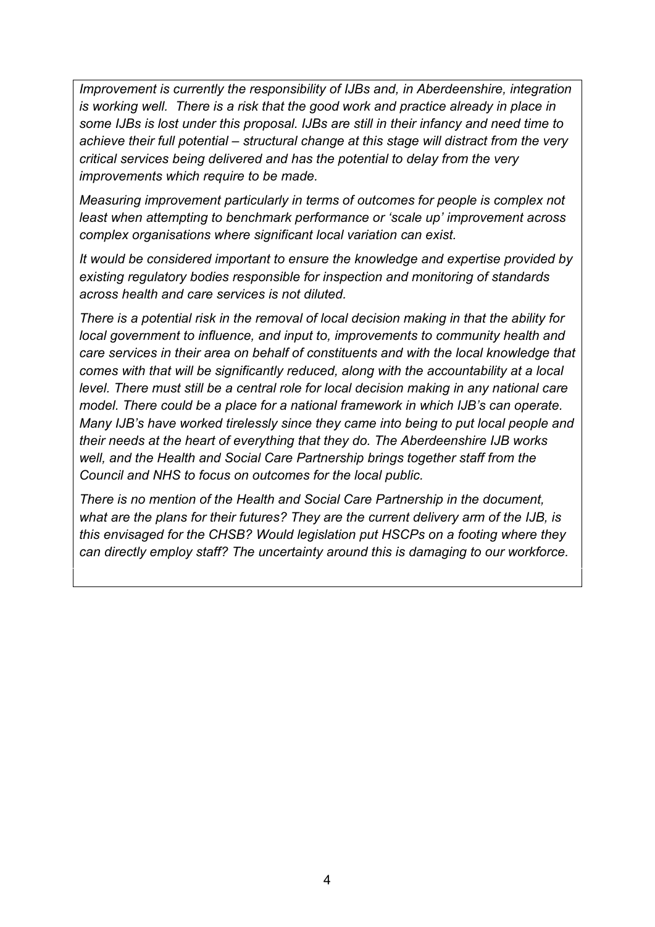*Improvement is currently the responsibility of IJBs and, in Aberdeenshire, integration is working well. There is a risk that the good work and practice already in place in some IJBs is lost under this proposal. IJBs are still in their infancy and need time to achieve their full potential – structural change at this stage will distract from the very critical services being delivered and has the potential to delay from the very improvements which require to be made.* 

*Measuring improvement particularly in terms of outcomes for people is complex not least when attempting to benchmark performance or 'scale up' improvement across complex organisations where significant local variation can exist.* 

*It would be considered important to ensure the knowledge and expertise provided by existing regulatory bodies responsible for inspection and monitoring of standards across health and care services is not diluted.* 

*There is a potential risk in the removal of local decision making in that the ability for local government to influence, and input to, improvements to community health and care services in their area on behalf of constituents and with the local knowledge that comes with that will be significantly reduced, along with the accountability at a local level. There must still be a central role for local decision making in any national care model. There could be a place for a national framework in which IJB's can operate. Many IJB's have worked tirelessly since they came into being to put local people and their needs at the heart of everything that they do. The Aberdeenshire IJB works well, and the Health and Social Care Partnership brings together staff from the Council and NHS to focus on outcomes for the local public.* 

*There is no mention of the Health and Social Care Partnership in the document, what are the plans for their futures? They are the current delivery arm of the IJB, is this envisaged for the CHSB? Would legislation put HSCPs on a footing where they can directly employ staff? The uncertainty around this is damaging to our workforce.*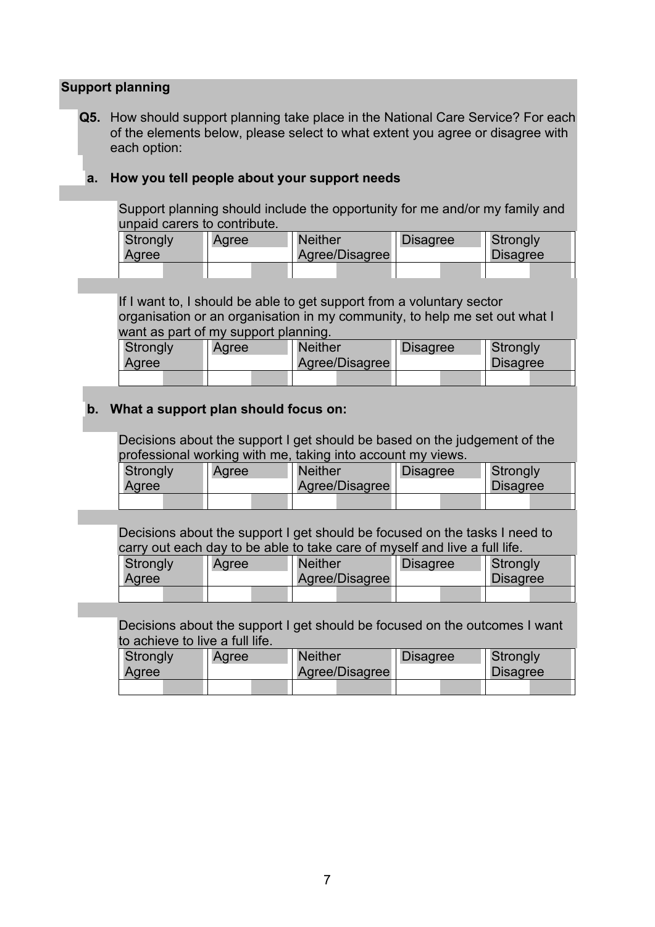#### REPORT TO SPECIAL FULL COUNCIL ±6 OCTOBER 2021

CONSULTATION RESPONSE: SCOTTISH GOVERNMENT CONSULTATION ON A NATIONAL CARE SERVICE

- $\mathbf{1}$ Reason for Report / Summary
- $1.1$ Full Council is requested to consider and comment on the Aberdeenshire Council response to the Scottish Government Consultation on a National Care Service, following the recommendations of the Independent Review of Adult Social Care.
- $\overline{2}$ Recommendation

Full Council is recommended to:

- $2.1$ Consider and comment on the Council response to the Scottish Government Consultation on a National Care Service attached as Appendix 2 to this Report;
- $22$ Note that the response deadline is 2 November 2021; and
- $2.3$ Agree to d elegate authority to the Chief Executive to submit the response following consultation with the Leader, Depute Leader, Policy Chairs and Opposition Leader in terms of the Scheme of Governance
- $\mathcal{S}$ **Purpose and Decision Making Route**
- $3.1$ The Independent Review into Adult Social Care (IRASC) was published in 2020 as part of the Scottish Government Programme for Government. The aim of the review was to recommend improvements to adult social care in Scotland. primarily in terms of the outcomes achieved by and with people who use services, their carers and families, and the experience of people who work in adult social care. The review took a human-rights based approach.
- $3.2$ One of the recommendations of IRASC was the concept of a National Care Service, the founding principles being the need to create a system that is controlled nationally, delivers locally, has the person at the centre and that is affordable.
- $3.3$ On 9 August 2021 the Scottish Government published its consultation on a National Care Service, following the recommendations of IRASC.
- $3.4$ Officers have reviewed the Government proposals and provided technical responses to inform the Council response (Appendix 2). Workshops were undertaken with Members on 17 and 22 September and feedback from the sessions has been collated to develop an Executive Summary (Appendix 1) setting out the strategic position of the Council and the impact of the proposals on Aberdeenshire residents and communities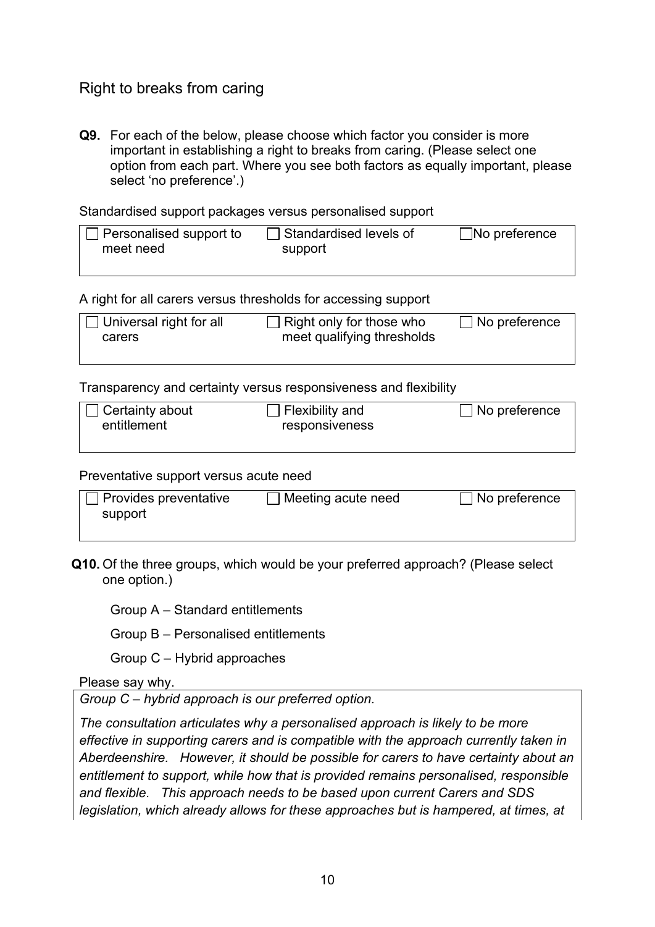| Subject                  | Yes | No | N/A |
|--------------------------|-----|----|-----|
| <b>Climate Change</b>    |     |    | х   |
| and Sustainability       |     |    |     |
| <b>Health and</b>        |     |    | х   |
| Wellbeing                |     |    |     |
| <b>Town Centre First</b> |     |    | х   |

- $5.3$ An integrated impact assessments not re uired because the report is to present the Council response to the Scottish overnment Consultation on a National Care Strateggo Full Counciand there will be no differential impact as a result of the report on people with protected characteristics result of the report.
- $5.4$ The followincCorporateRiskshave been identified as relevant to this matter on a Corporate evel:
	- $\times$  ACORP004  $\pm$ business and organisation change including ensuring governance structures support changeanaging the pace of change
	- $\times$  ACORP006  $\pm$ reputation management including social media
- 6 **Scheme of Governance**
- The Head of Finance and Monitoring Officer within Business Services have  $6.1$ been consulted in the preparation of this report and their comments are incorporated within the report and are satisfied that the report complies with the Scheme of Governanceand relevant legislation.
- $6.2$ The Councilis able to consider and take a decision on this item in termine of general provisions conferred thre ist of Committee Powers in Part 20f the Scheme of Governance ashe consultation has crossouncil implications and approval of the response is not therefore delegated to any Council committee

Ritchie Johnson, Director of Business Services

Report prepared by Fiona McCallum, Business Strategy Manager Date 21 September 2021

**List of Appendices** Appendix 1 NCS Consultation±Aberdeenshire Council Executive Summary **Appendix 2 Aberdeenshire Councilesponse**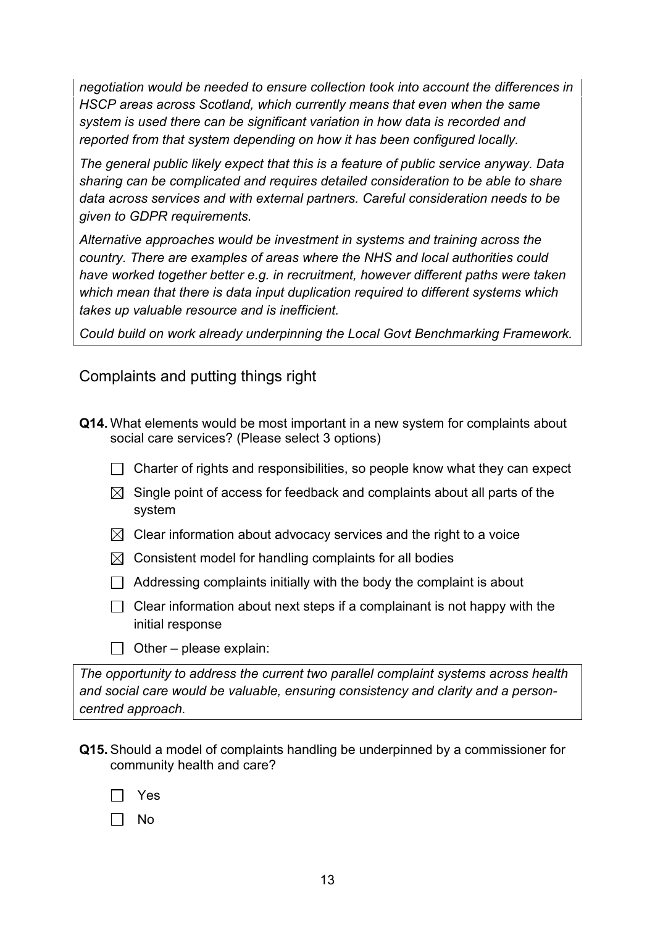focus of improvement has to be person-centred care. Additionally, improvements must recognise and respect the role of the care workforce so it is seen on the same level as the NHS. The Council would like to see further consideration given to the possibility of Scottish Government intervention being targeted and focussed on the areas or services where it is needed. such as in workforce planning and setting minimum standards. The Council would request details of how the NCS would help to fix the significant problems around recruitment and retention of staff.

- 3.2.2 The Council would suggest that the key issue is resourcing existing local services properly. Local services should be tasked to make improvements in line with standards set by NCS but at a local level, taking account of local needs. The requirements of communities across rural Aberdeenshire will be very different to those in cities such as Glasgow and Edinburgh. There is a concern that a one size fits all approach would lead to inequity and exacerbate current issues around lack of availability of local resources and support. Local decision making ensures that funding is directed to the right places.
- 3.2.3 The Council would welcome greater clarity around the financial cost of the wholesale reforms proposed and consequential restructuring exercises. The Council would be interested to learn more around claimed but undefined benefits to local people (service users and carers and their families) relative to cost. More detail is required around on how the National Care Service would improve outcomes for our local communities and residents in Aberdeenshire.
- 3.2.4 The Council would welcome clarity around where the NCS sits with existing commitments, such as The Promise and Getting It Right For Every Child. Aberdeenshire Councill is making good progress with delivering The Promise. however this is extremely challenging within existing resources and progress will likely be hampered if a restructuring is imposed.
- 3.2.5 Aberdeenshire is currently developing Place Plans building on the Place Principle and a joined-up view of local services is critical in providing a clear view and planning for place, which encourages and enables local flexibility to individuals and circumstances in different places. Given this is a joint commitment by Scottish Government and COSLA, a clear commitment would need to be provided on how the NCS would feed into this important work.
- 3.2.6 The voice of local communities is growing all the time; health and social care is a critical part of our conversation, and existing networks and relationships across our communities, represented by local elected members, is critical to ensure those voices are heard and responded to.

#### $\overline{4}$ **CONCLUSION**

41 The Council acknowledges that there are problems inherent in the current system but is far from convinced that a National Care Service is an appropriate mechanism to drive improvement in areas such as workforce development and improvement programmes to raise standards of care and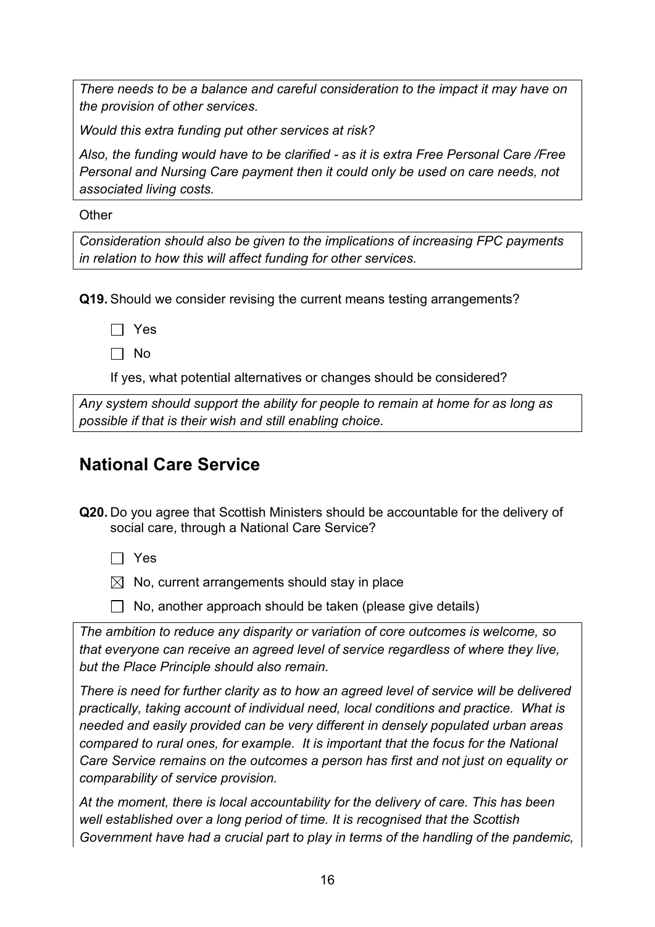Item:  $3$ Page: 27

A National Care Service for Scotland - Consultation

#### **RESPONDENT INFORMATION FORM**

Please Note this form must be completed and returned with your response.

To find out how we handle your personal data, please see our privacy policy: https://www.gov.scot/privacy/

Are you responding as an individual or an organisation?

 $\Box$  Individual

 $\boxtimes$  Organisation

Full name or organisation's name

| <b>Aberdeenshire Council</b>                                                                        |                                                                                                                                                                                     |  |
|-----------------------------------------------------------------------------------------------------|-------------------------------------------------------------------------------------------------------------------------------------------------------------------------------------|--|
| Phone number                                                                                        |                                                                                                                                                                                     |  |
| Address                                                                                             |                                                                                                                                                                                     |  |
|                                                                                                     |                                                                                                                                                                                     |  |
|                                                                                                     |                                                                                                                                                                                     |  |
|                                                                                                     |                                                                                                                                                                                     |  |
| Postcode                                                                                            |                                                                                                                                                                                     |  |
| Email                                                                                               |                                                                                                                                                                                     |  |
|                                                                                                     |                                                                                                                                                                                     |  |
| The Scottish Government would like your                                                             | Information for organisations:                                                                                                                                                      |  |
| permission to publish your consultation<br>response. Please indicate your publishing<br>preference: | The option 'Publish response only (without<br>name)' is available for individual respondents<br>only. If this option is selected, the organisation<br>name will still be published. |  |
| $\boxtimes$<br>Publish response with name                                                           | If you choose the option 'Do not publish<br>response', your organisation name may still be<br>listed as having responded to the consultation                                        |  |
| Publish response only (without name)<br>in, for example, the analysis report.                       |                                                                                                                                                                                     |  |

 $\Box$ Do not publish response